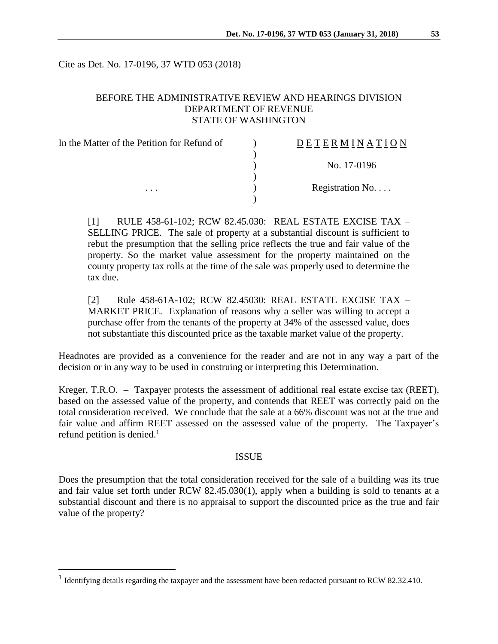Cite as Det. No. 17-0196, 37 WTD 053 (2018)

# BEFORE THE ADMINISTRATIVE REVIEW AND HEARINGS DIVISION DEPARTMENT OF REVENUE STATE OF WASHINGTON

| In the Matter of the Petition for Refund of | <b>DETERMINATION</b> |
|---------------------------------------------|----------------------|
|                                             |                      |
|                                             | No. 17-0196          |
|                                             |                      |
| $\cdots$                                    | Registration No      |
|                                             |                      |

[1] RULE 458-61-102; RCW 82.45.030: REAL ESTATE EXCISE TAX – SELLING PRICE. The sale of property at a substantial discount is sufficient to rebut the presumption that the selling price reflects the true and fair value of the property. So the market value assessment for the property maintained on the county property tax rolls at the time of the sale was properly used to determine the tax due.

[2] Rule 458-61A-102; RCW 82.45030: REAL ESTATE EXCISE TAX – MARKET PRICE. Explanation of reasons why a seller was willing to accept a purchase offer from the tenants of the property at 34% of the assessed value, does not substantiate this discounted price as the taxable market value of the property.

Headnotes are provided as a convenience for the reader and are not in any way a part of the decision or in any way to be used in construing or interpreting this Determination.

Kreger, T.R.O. – Taxpayer protests the assessment of additional real estate excise tax (REET), based on the assessed value of the property, and contends that REET was correctly paid on the total consideration received. We conclude that the sale at a 66% discount was not at the true and fair value and affirm REET assessed on the assessed value of the property. The Taxpayer's refund petition is denied.<sup>1</sup>

## ISSUE

Does the presumption that the total consideration received for the sale of a building was its true and fair value set forth under RCW 82.45.030(1), apply when a building is sold to tenants at a substantial discount and there is no appraisal to support the discounted price as the true and fair value of the property?

 $\overline{a}$ 

<sup>&</sup>lt;sup>1</sup> Identifying details regarding the taxpayer and the assessment have been redacted pursuant to RCW 82.32.410.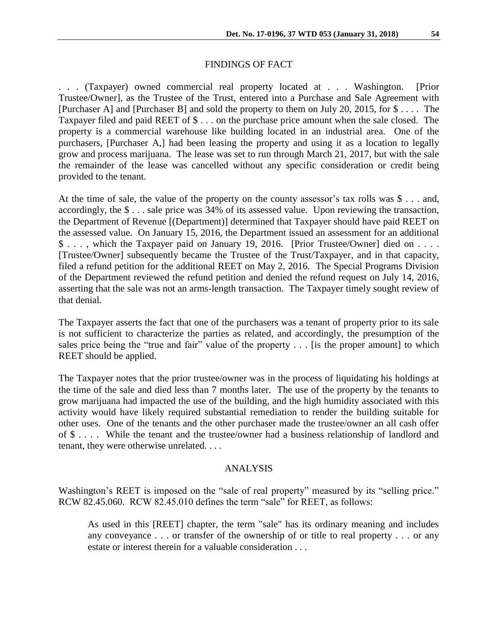## FINDINGS OF FACT

. . . (Taxpayer) owned commercial real property located at . . . Washington. [Prior Trustee/Owner], as the Trustee of the Trust, entered into a Purchase and Sale Agreement with [Purchaser A] and [Purchaser B] and sold the property to them on July 20, 2015, for \$ . . . . The Taxpayer filed and paid REET of \$ . . . on the purchase price amount when the sale closed. The property is a commercial warehouse like building located in an industrial area. One of the purchasers, [Purchaser A,] had been leasing the property and using it as a location to legally grow and process marijuana. The lease was set to run through March 21, 2017, but with the sale the remainder of the lease was cancelled without any specific consideration or credit being provided to the tenant.

At the time of sale, the value of the property on the county assessor's tax rolls was \$ . . . and, accordingly, the \$ . . . sale price was 34% of its assessed value. Upon reviewing the transaction, the Department of Revenue [(Department)] determined that Taxpayer should have paid REET on the assessed value. On January 15, 2016, the Department issued an assessment for an additional \$ . . . , which the Taxpayer paid on January 19, 2016. [Prior Trustee/Owner] died on . . . . [Trustee/Owner] subsequently became the Trustee of the Trust/Taxpayer, and in that capacity, filed a refund petition for the additional REET on May 2, 2016. The Special Programs Division of the Department reviewed the refund petition and denied the refund request on July 14, 2016, asserting that the sale was not an arms-length transaction. The Taxpayer timely sought review of that denial.

The Taxpayer asserts the fact that one of the purchasers was a tenant of property prior to its sale is not sufficient to characterize the parties as related, and accordingly, the presumption of the sales price being the "true and fair" value of the property . . . [is the proper amount] to which REET should be applied.

The Taxpayer notes that the prior trustee/owner was in the process of liquidating his holdings at the time of the sale and died less than 7 months later. The use of the property by the tenants to grow marijuana had impacted the use of the building, and the high humidity associated with this activity would have likely required substantial remediation to render the building suitable for other uses. One of the tenants and the other purchaser made the trustee/owner an all cash offer of \$ . . . . While the tenant and the trustee/owner had a business relationship of landlord and tenant, they were otherwise unrelated. . . .

## ANALYSIS

Washington's REET is imposed on the "sale of real property" measured by its "selling price." RCW 82.45.060. RCW 82.45.010 defines the term "sale" for REET, as follows:

As used in this [REET] chapter, the term "sale" has its ordinary meaning and includes any conveyance . . . or transfer of the ownership of or title to real property . . . or any estate or interest therein for a valuable consideration . . .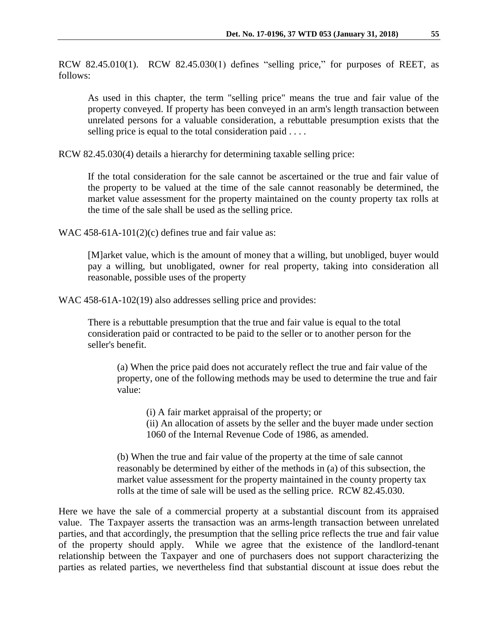RCW 82.45.010(1). RCW 82.45.030(1) defines "selling price," for purposes of REET, as follows:

As used in this chapter, the term "selling price" means the true and fair value of the property conveyed. If property has been conveyed in an arm's length transaction between unrelated persons for a valuable consideration, a rebuttable presumption exists that the selling price is equal to the total consideration paid . . . .

RCW 82.45.030(4) details a hierarchy for determining taxable selling price:

If the total consideration for the sale cannot be ascertained or the true and fair value of the property to be valued at the time of the sale cannot reasonably be determined, the market value assessment for the property maintained on the county property tax rolls at the time of the sale shall be used as the selling price.

WAC 458-61A-101(2)(c) defines true and fair value as:

[M]arket value, which is the amount of money that a willing, but unobliged, buyer would pay a willing, but unobligated, owner for real property, taking into consideration all reasonable, possible uses of the property

WAC 458-61A-102(19) also addresses selling price and provides:

There is a rebuttable presumption that the true and fair value is equal to the total consideration paid or contracted to be paid to the seller or to another person for the seller's benefit.

(a) When the price paid does not accurately reflect the true and fair value of the property, one of the following methods may be used to determine the true and fair value:

(i) A fair market appraisal of the property; or

(ii) An allocation of assets by the seller and the buyer made under section 1060 of the Internal Revenue Code of 1986, as amended.

(b) When the true and fair value of the property at the time of sale cannot reasonably be determined by either of the methods in (a) of this subsection, the market value assessment for the property maintained in the county property tax rolls at the time of sale will be used as the selling price. RCW 82.45.030.

Here we have the sale of a commercial property at a substantial discount from its appraised value. The Taxpayer asserts the transaction was an arms-length transaction between unrelated parties, and that accordingly, the presumption that the selling price reflects the true and fair value of the property should apply. While we agree that the existence of the landlord-tenant relationship between the Taxpayer and one of purchasers does not support characterizing the parties as related parties, we nevertheless find that substantial discount at issue does rebut the